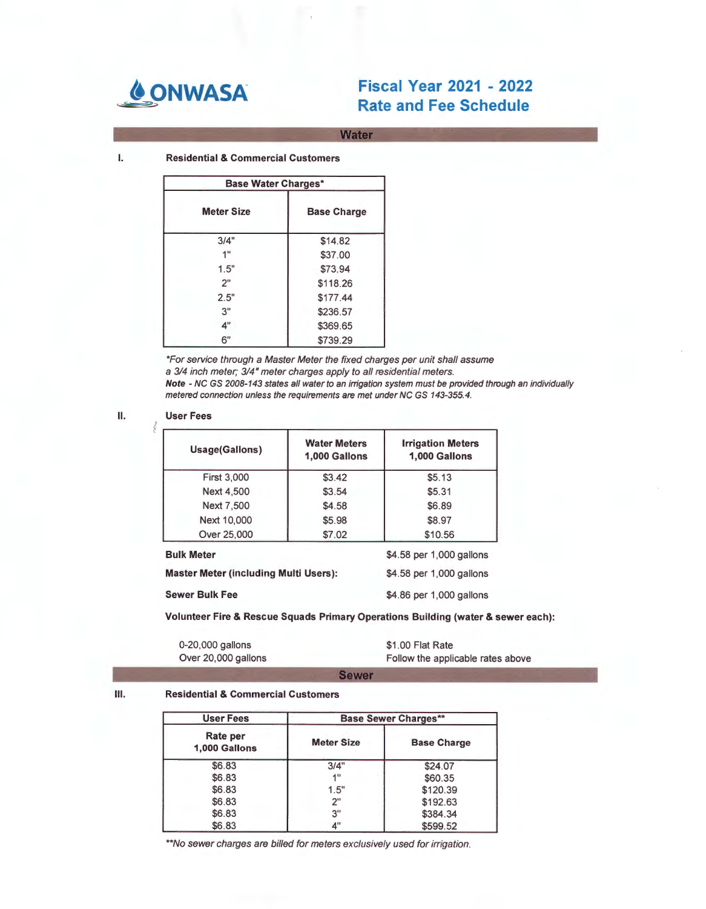

# **80NWASA Fiscal Year 2021** - **<sup>2022</sup> Rate and Fee Schedule**

**Water** 

I. **Residential** & **Commercial Customers** 

| <b>Base Water Charges*</b> |                    |  |
|----------------------------|--------------------|--|
| <b>Meter Size</b>          | <b>Base Charge</b> |  |
| 3/4"                       | \$14.82            |  |
| 1"                         | \$37.00            |  |
| 1.5"                       | \$73.94            |  |
| 2"                         | \$118.26           |  |
| 2.5"                       | \$177.44           |  |
| 3"                         | \$236.57           |  |
| 4"                         | \$369.65           |  |
| 6"                         | \$739.29           |  |

\*For service through a Master Meter the fixed charges per unit shall assume a 314 inch meter; 314" meter charges apply to all residential meters. **Note** - NC GS 2008-143 states all water to an irrigation system must be provided through an individually metered connection unless the requirements are met under NC GS 143-355.4.

#### II. **User Fees**

ś

| Usage(Gallons)                               | <b>Water Meters</b><br>1,000 Gallons | <b>Irrigation Meters</b><br>1,000 Gallons |
|----------------------------------------------|--------------------------------------|-------------------------------------------|
| <b>First 3,000</b>                           | \$3.42                               | \$5.13                                    |
| <b>Next 4,500</b>                            | \$3.54                               | \$5.31                                    |
| Next 7,500                                   | \$4.58                               | \$6.89                                    |
| Next 10,000                                  | \$5.98                               | \$8.97                                    |
| Over 25,000                                  | \$7.02                               | \$10.56                                   |
| <b>Bulk Meter</b>                            |                                      | \$4.58 per 1,000 gallons                  |
| <b>Master Meter (including Multi Users):</b> |                                      | \$4.58 per 1,000 gallons                  |
| <b>Sewer Bulk Fee</b>                        |                                      | \$4.86 per 1,000 gallons                  |

**Volunteer Fire** & **Rescue Squads Primary Operations Building (water** & **sewer each):** 

| 0-20,000 gallons    | \$1.00 Flat Rate                  |
|---------------------|-----------------------------------|
| Over 20,000 gallons | Follow the applicable rates above |

**Sewer** 

#### **Ill. Residential** & **Commercial Customers**

| <b>User Fees</b>          | <b>Base Sewer Charges**</b> |                    |
|---------------------------|-----------------------------|--------------------|
| Rate per<br>1,000 Gallons | <b>Meter Size</b>           | <b>Base Charge</b> |
| \$6.83                    | 3/4"                        | \$24.07            |
| \$6.83                    | 411                         | \$60.35            |
| \$6.83                    | 1.5"                        | \$120.39           |
| \$6.83                    | 2"                          | \$192.63           |
| \$6.83                    | 3"                          | \$384.34           |
| \$6.83                    | 4"                          | \$599.52           |

\*\*No sewer charges are billed for meters exclusively used for irrigation.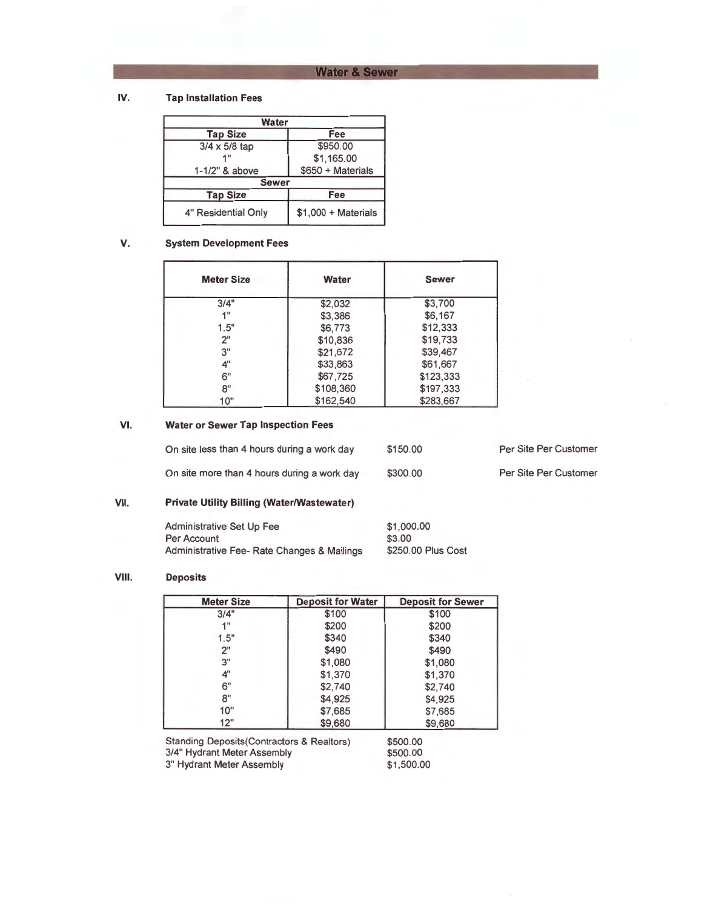# **Water & Sewer**

#### **IV. Tap Installation Fees**

| Water               |                      |
|---------------------|----------------------|
| <b>Tap Size</b>     | Fee                  |
| 3/4 x 5/8 tap       | \$950.00             |
| 1"                  | \$1,165.00           |
| 1-1/2" & above      | \$650 + Materials    |
| <b>Sewer</b>        |                      |
| <b>Tap Size</b>     | Fee                  |
| 4" Residential Only | $$1,000 + Materials$ |

#### **V. System Development Fees**

| <b>Meter Size</b> | Water     | <b>Sewer</b> |
|-------------------|-----------|--------------|
| 3/4"              | \$2,032   | \$3,700      |
| 4 <sup>H</sup>    | \$3,386   | \$6,167      |
| 1.5"              | \$6,773   | \$12,333     |
| 2"                | \$10,836  | \$19,733     |
| 3"                | \$21,672  | \$39,467     |
| 4"                | \$33,863  | \$61,667     |
| 6"                | \$67,725  | \$123,333    |
| 8"                | \$108,360 | \$197,333    |
| 10"               | \$162,540 | \$283.667    |

#### **VI. Water or Sewer Tap Inspection Fees**

| On site less than 4 hours during a work day | \$150.00 | Per Site Per Customer |
|---------------------------------------------|----------|-----------------------|
| On site more than 4 hours during a work day | \$300.00 | Per Site Per Customer |

# **VII. Private Utility Billing (Water/Wastewater)**

| <b>Administrative Set Up Fee</b>            | \$1,000.00         |
|---------------------------------------------|--------------------|
| Per Account                                 | \$3.00             |
| Administrative Fee- Rate Changes & Mailings | \$250.00 Plus Cost |

## **VIII. Deposits**

| <b>Meter Size</b> | <b>Deposit for Water</b> | <b>Deposit for Sewer</b> |
|-------------------|--------------------------|--------------------------|
| 3/4"              | \$100                    | \$100                    |
| 4 11              | \$200                    | \$200                    |
| 1.5"              | \$340                    | \$340                    |
| 2"                | \$490                    | \$490                    |
| 3"                | \$1,080                  | \$1,080                  |
| 4"                | \$1,370                  | \$1,370                  |
| 6"                | \$2,740                  | \$2,740                  |
| 8"                | \$4,925                  | \$4,925                  |
| 10"               | \$7,685                  | \$7,685                  |
| 12"               | \$9,680                  | \$9,680                  |

Standing Deposits(Contractors & Realtors) 3/4" Hydrant Meter Assembly 3" Hydrant Meter Assembly

\$500.00 \$500.00 \$1 ,500.00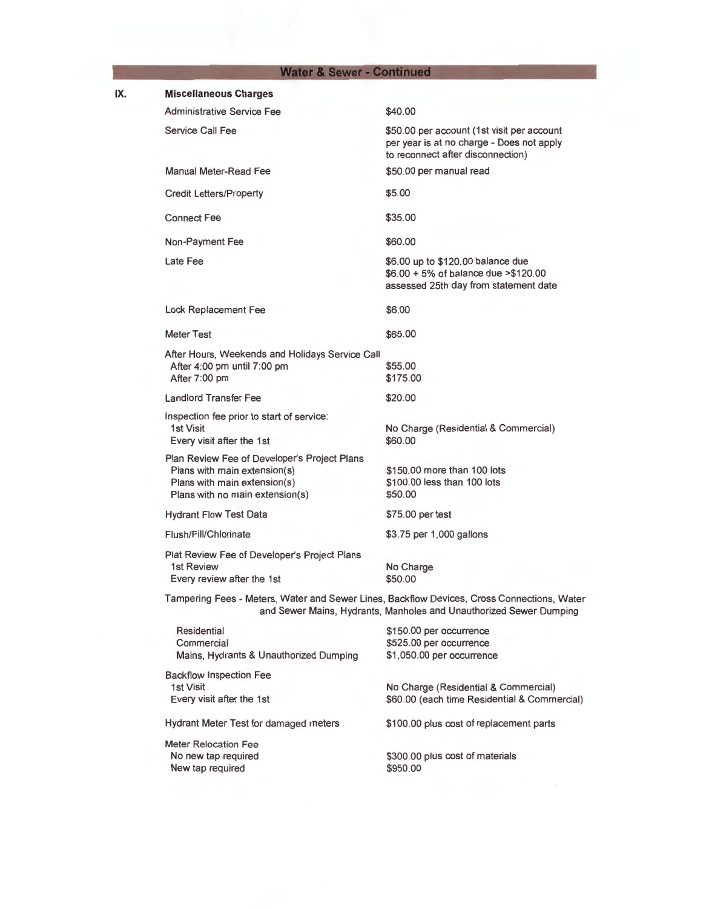# **Water & Sewer - Continued**

IX.

| <b>Miscellaneous Charges</b>                                                                                                                    |                                                                                                                              |
|-------------------------------------------------------------------------------------------------------------------------------------------------|------------------------------------------------------------------------------------------------------------------------------|
| <b>Administrative Service Fee</b>                                                                                                               | \$40.00                                                                                                                      |
| Service Call Fee                                                                                                                                | \$50.00 per account (1st visit per account<br>per year is at no charge - Does not apply<br>to reconnect after disconnection) |
| <b>Manual Meter-Read Fee</b>                                                                                                                    | \$50.00 per manual read                                                                                                      |
| <b>Credit Letters/Property</b>                                                                                                                  | \$5.00                                                                                                                       |
| <b>Connect Fee</b>                                                                                                                              | \$35.00                                                                                                                      |
| Non-Payment Fee                                                                                                                                 | \$60.00                                                                                                                      |
| Late Fee                                                                                                                                        | \$6.00 up to \$120.00 balance due<br>\$6.00 + 5% of balance due > \$120.00<br>assessed 25th day from statement date          |
| Lock Replacement Fee                                                                                                                            | \$6.00                                                                                                                       |
| <b>Meter Test</b>                                                                                                                               | \$65.00                                                                                                                      |
| After Hours, Weekends and Holidays Service Call<br>After 4:00 pm until 7:00 pm<br>After 7:00 pm                                                 | \$55.00<br>\$175.00                                                                                                          |
| <b>Landlord Transfer Fee</b>                                                                                                                    | \$20.00                                                                                                                      |
| Inspection fee prior to start of service:<br>1st Visit<br>Every visit after the 1st                                                             | No Charge (Residential & Commercial)<br>\$60.00                                                                              |
| Plan Review Fee of Developer's Project Plans<br>Plans with main extension(s)<br>Plans with main extension(s)<br>Plans with no main extension(s) | \$150,00 more than 100 lots<br>\$100,00 less than 100 lots<br>\$50.00                                                        |
| <b>Hydrant Flow Test Data</b>                                                                                                                   | \$75.00 per test                                                                                                             |
| Flush/Fill/Chlorinate                                                                                                                           | \$3.75 per 1,000 gallons                                                                                                     |
| Plat Review Fee of Developer's Project Plans<br>1st Review<br>Every review after the 1st                                                        | No Charge<br>\$50.00                                                                                                         |
| Tampering Fees - Meters, Water and Sewer Lines, Backflow Devices, Cross Connections, Water                                                      | and Sewer Mains, Hydrants, Manholes and Unauthorized Sewer Dumping                                                           |
| Residential<br>Commercial<br>Mains, Hydrants & Unauthorized Dumping                                                                             | \$150.00 per occurrence<br>\$525.00 per occurrence<br>\$1,050.00 per occurrence                                              |
| <b>Backflow Inspection Fee</b><br>1st Visit<br>Every visit after the 1st                                                                        | No Charge (Residential & Commercial)<br>\$60.00 (each time Residential & Commercial)                                         |
| Hydrant Meter Test for damaged meters                                                                                                           | \$100.00 plus cost of replacement parts                                                                                      |
| <b>Meter Relocation Fee</b><br>No new tap required<br>New tap required                                                                          | \$300.00 plus cost of materials<br>\$950.00                                                                                  |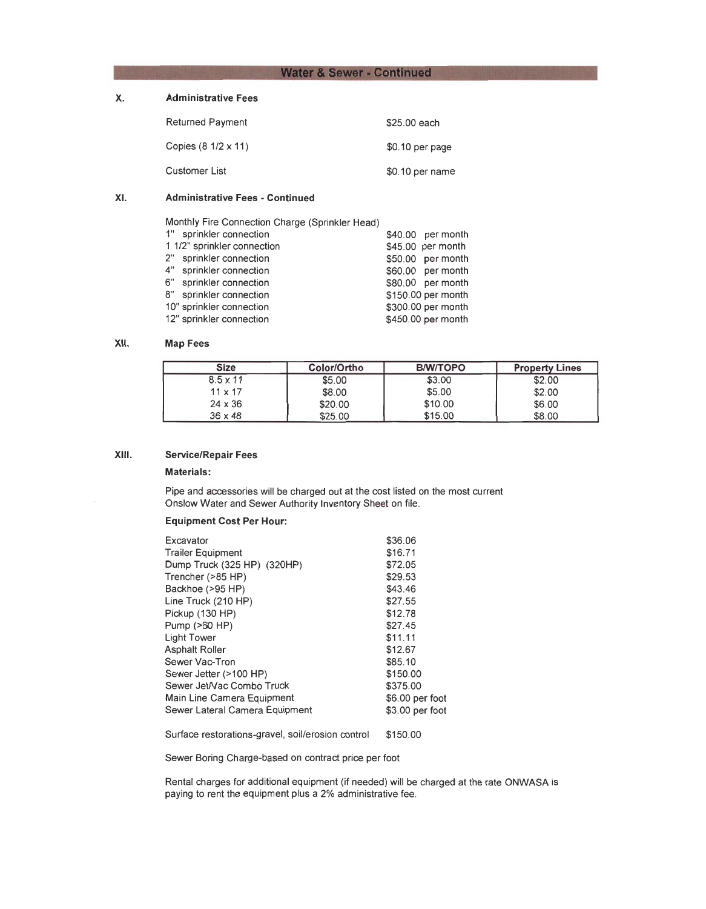## **Water & Sewer - Continued**

# **X. Administrative Fees**

| <b>Returned Payment</b> | \$25.00 each    |
|-------------------------|-----------------|
| Copies (8 1/2 x 11)     | \$0.10 per page |
| Customer List           | \$0.10 per name |

#### **XI. Administrative Fees** - **Continued**

Monthly Fire Connection Charge (Sprinkler Head)

| 1" sprinkler connection     | \$40.00 per month  |
|-----------------------------|--------------------|
| 1 1/2" sprinkler connection | \$45.00 per month  |
| 2" sprinkler connection     | \$50.00 per month  |
| 4" sprinkler connection     | \$60.00 per month  |
| 6" sprinkler connection     | \$80.00 per month  |
| 8" sprinkler connection     | \$150.00 per month |
| 10" sprinkler connection    | \$300.00 per month |
| 12" sprinkler connection    | \$450.00 per month |
|                             |                    |

#### **XII. Map Fees**

| Size            | Color/Ortho | <b>B/W/TOPO</b> | <b>Property Lines</b> |
|-----------------|-------------|-----------------|-----------------------|
| $8.5 \times 11$ | \$5.00      | \$3.00          | \$2.00                |
| $11 \times 17$  | \$8.00      | \$5.00          | \$2.00                |
| $24 \times 36$  | \$20.00     | \$10.00         | \$6.00                |
| $36 \times 48$  | \$25.00     | \$15.00         | <b>CR NN</b><br>UU.UU |

# **XIII. Service/Repair Fees**

#### **Materials:**

Pipe and accessories will be charged out at the cost listed on the most current Onslow Water and Sewer Authority Inventory Sheet on file.

#### **Equipment Cost Per Hour:**

| Excavator                                 | \$36.06         |
|-------------------------------------------|-----------------|
| <b>Trailer Equipment</b>                  | \$16.71         |
| Dump Truck (325 HP) (320HF <sup>2</sup> ) | \$72.05         |
| Trencher (>85 HP)                         | \$29.53         |
| Backhoe (>95 HP)                          | \$43.46         |
| Line Truck (210 HP)                       | \$27.55         |
| Pickup (130 HP)                           | \$12.78         |
| Pump (>60 HP)                             | \$27.45         |
| <b>Light Tower</b>                        | \$11.11         |
| <b>Asphalt Roller</b>                     | \$12.67         |
| Sewer Vac-Tron                            | \$85.10         |
| Sewer Jetter (>100 HP)                    | \$150.00        |
| Sewer Jet/Vac Combo Truck                 | \$375.00        |
| Main Line Camera Equipment                | \$6.00 per foot |
| Sewer Lateral Camera Equipment            | \$3.00 per foot |
|                                           |                 |

Surface restorations-gravel, soil/erosion control \$150.00

Sewer Boring Charge-tased on contract price per foot

Rental charges for additional equipment (if needed) will be charged at the rate **ONWASA** is paying to rent the equipment plus a 2% administrative fee.